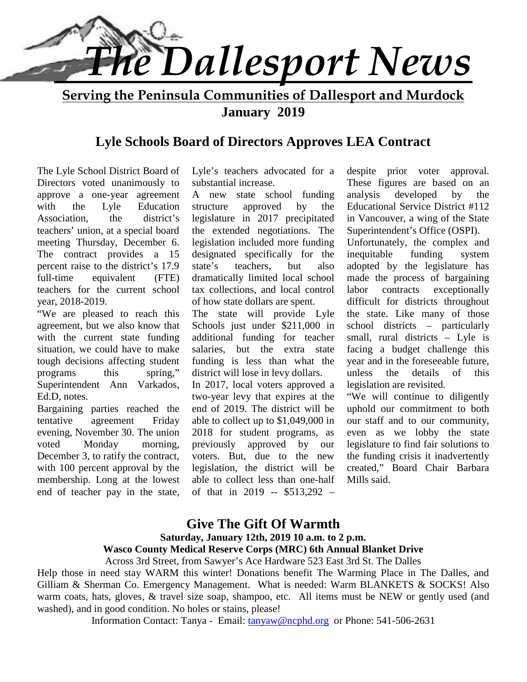

**Serving the Peninsula Communities of Dallesport and Murdock January 2019**

### **Lyle Schools Board of Directors Approves LEA Contract**

The Lyle School District Board of Directors voted unanimously to approve a one-year agreement with the Lyle Education structure Association, the district's teachers' union, at a special board meeting Thursday, December 6. The contract provides a 15 percent raise to the district's 17.9 state's full-time equivalent (FTE) teachers for the current school year, 2018-2019.

"We are pleased to reach this agreement, but we also know that with the current state funding situation, we could have to make tough decisions affecting student programs this spring," Superintendent Ann Varkados, Ed.D, notes.

Bargaining parties reached the tentative agreement Friday evening, November 30. The union voted Monday morning, previously December 3, to ratify the contract, with 100 percent approval by the membership. Long at the lowest end of teacher pay in the state,

Lyle's teachers advocated for a substantial increase.

A new state school funding approved by the legislature in 2017 precipitated the extended negotiations. The legislation included more funding designated specifically for the teachers, but also dramatically limited local school tax collections, and local control of how state dollars are spent.

The state will provide Lyle Schools just under \$211,000 in additional funding for teacher salaries, but the extra state funding is less than what the district will lose in levy dollars.

In 2017, local voters approved a two-year levy that expires at the end of 2019. The district will be able to collect up to \$1,049,000 in 2018 for student programs, as approved by our voters. But, due to the new legislation, the district will be able to collect less than one-half of that in 2019 -- \$513,292 –

despite prior voter approval. These figures are based on an developed by the Educational Service District #112 in Vancouver, a wing of the State Superintendent's Office (OSPI).

Unfortunately, the complex and inequitable funding system adopted by the legislature has made the process of bargaining contracts exceptionally difficult for districts throughout the state. Like many of those school districts – particularly small, rural districts – Lyle is facing a budget challenge this year and in the foreseeable future, unless the details of this legislation are revisited.

"We will continue to diligently uphold our commitment to both our staff and to our community, even as we lobby the state legislature to find fair solutions to the funding crisis it inadvertently created," Board Chair Barbara Mills said.

# **Give The Gift Of Warmth**

**Saturday, January 12th, 2019 10 a.m. to 2 p.m.**

### **Wasco County Medical Reserve Corps (MRC) 6th Annual Blanket Drive**

Across 3rd Street, from Sawyer's Ace Hardware 523 East 3rd St. The Dalles

Help those in need stay WARM this winter! Donations benefit The Warming Place in The Dalles, and Gilliam & Sherman Co. Emergency Management. What is needed: Warm BLANKETS & SOCKS! Also warm coats, hats, gloves, & travel size soap, shampoo, etc. All items must be NEW or gently used (and washed), and in good condition. No holes or stains, please!

Information Contact: Tanya - Email: tanyaw@ncphd.org or Phone: 541-506-2631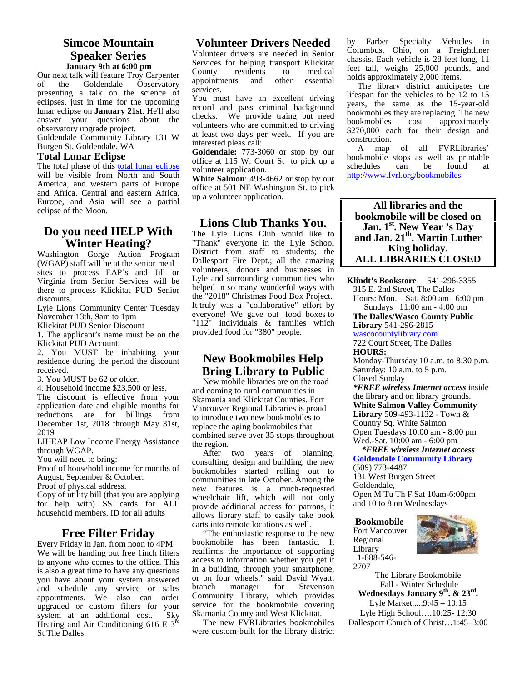### **Simcoe Mountain Speaker Series January 9th at 6:00 pm** Services

Our next talk will feature Troy Carpenter<br>of the Goldendale Observatory of the Goldendale Observatory presenting a talk on the science of eclipses, just in time for the upcoming lunar eclipse on **January 21st**. He'll also answer your questions about the observatory upgrade project.

Goldendale Community Library 131 W Burgen St, Goldendale, WA

### **Total Lunar Eclipse**

The total phase of this total lunar eclipse will be visible from North and South America, and western parts of Europe and Africa. Central and eastern Africa, Europe, and Asia will see a partial eclipse of the Moon.

### **Do you need HELP With Winter Heating?**

Washington Gorge Action Program (WGAP) staff will be at the senior meal sites to process EAP's and Jill or Virginia from Senior Services will be there to process Klickitat PUD Senior discounts.

Lyle Lions Community Center Tuesday November 13th, 9am to 1pm

Klickitat PUD Senior Discount

1. The applicant's name must be on the Klickitat PUD Account.

2. You MUST be inhabiting your residence during the period the discount received.

3. You MUST be 62 or older.

4. Household income \$23,500 or less. The discount is effective from your application date and eligible months for reductions are for billings from December 1st, 2018 through May 31st,

2019 LIHEAP Low Income Energy Assistance

through WGAP.

You will need to bring:

Proof of household income for months of August, September & October.

Proof of physical address.

Copy of utility bill (that you are applying for help with) SS cards for ALL household members. ID for all adults

### **Free Filter Friday**

Every Friday in Jan. from noon to 4PM We will be handing out free 1inch filters to anyone who comes to the office. This is also a great time to have any questions you have about your system answered or on t and schedule any service or sales appointments. We also can order upgraded or custom filters for your system at an additional cost. Sky Heating and Air Conditioning 616 E  $3<sup>rd</sup>$ St The Dalles.

### **Volunteer Drivers Needed**

Volunteer drivers are needed in Senior Services for helping transport Klickitat<br>County residents to medical residents to medical<br>ts and other essential appointments services.

You must have an excellent driving record and pass criminal background checks. We provide traing but need<br>unlusted to diving bookmobiles volunteers who are committed to driving at least two days per week. If you are interested pleas call:

**Goldendale:** 773-3060 or stop by our office at 115 W. Court St to pick up a volunteer application.

**White Salmon**: 493-4662 or stop by our office at 501 NE Washington St. to pick up a volunteer application.

### **Lions Club Thanks You.**

The Lyle Lions Club would like to "Thank" everyone in the Lyle School District from staff to students; the Dallesport Fire Dept.; all the amazing volunteers, donors and businesses in Lyle and surrounding communities who helped in so many wonderful ways with the "2018" Christmas Food Box Project. It truly was a "collaborative" effort by everyone! We gave out food boxes to The "112" individuals  $\&$  families which  $\quad$  Lib provided food for "380" people.

### **New Bookmobiles Help Bring Library to Public**

 New mobile libraries are on the road and coming to rural communities in Skamania and Klickitat Counties. Fort Vancouver Regional Libraries is proud to introduce two new bookmobiles to replace the aging bookmobiles that combined serve over 35 stops throughout the region.

 After two years of planning, consulting, design and building, the new bookmobiles started rolling out to communities in late October. Among the new features is a much-requested wheelchair lift, which will not only provide additional access for patrons, it allows library staff to easily take book carts into remote locations as well.

 "The enthusiastic response to the new bookmobile has been fantastic. It reaffirms the importance of supporting access to information whether you get it in a building, through your smartphone, or on four wheels," said David Wyatt, manager for Stevenson Community Library, which provides service for the bookmobile covering Skamania County and West Klickitat.

 The new FVRLibraries bookmobiles were custom-built for the library district by Farber Specialty Vehicles in Columbus, Ohio, on a Freightliner chassis. Each vehicle is 28 feet long, 11 feet tall, weighs 25,000 pounds, and holds approximately 2,000 items.

 The library district anticipates the lifespan for the vehicles to be 12 to 15 years, the same as the 15-year-old bookmobiles they are replacing. The new cost approximately \$270,000 each for their design and construction.

 A map of all FVRLibraries' bookmobile stops as well as printable schedules can be found at http://www.fvrl.org/bookmobiles

### **All libraries and the bookmobile will be closed on Jan. 1st. New Year 's Day and Jan. 21th. Martin Luther King holiday. ALL LIBRARIES CLOSED**

**Klindt's Bookstore** 541-296-3355 315 E. 2nd Street, The Dalles

Hours: Mon. – Sat. 8:00 am– 6:00 pm Sundays 11:00 am - 4:00 pm

**The Dalles/Wasco County Public Library** 541-296-2815

wascocountylibrary.com

722 Court Street, The Dalles **HOURS:**

Monday-Thursday 10 a.m. to 8:30 p.m. Saturday: 10 a.m. to 5 p.m. Closed Sunday

*\*FREE wireless Internet access* inside the library and on library grounds. **White Salmon Valley Community Library** 509-493-1132 - Town & Country Sq. White Salmon Open Tuesdays 10:00 am - 8:00 pm Wed.-Sat. 10:00 am - 6:00 pm

 *\*FREE wireless Internet access* **Goldendale Community Library** (509) 773-4487 131 West Burgen Street

Goldendale,

Open M Tu Th F Sat 10am-6:00pm and 10 to 8 on Wednesdays

**Bookmobile** Fort Vancouver Regional Library 1-888-546- 2707



The Library Bookmobile Fall - Winter Schedule **Wednesdays January 9th. & 23rd .** Lyle Market.....9:45 – 10:15 Lyle High School….10:25- 12:30 Dallesport Church of Christ…1:45–3:00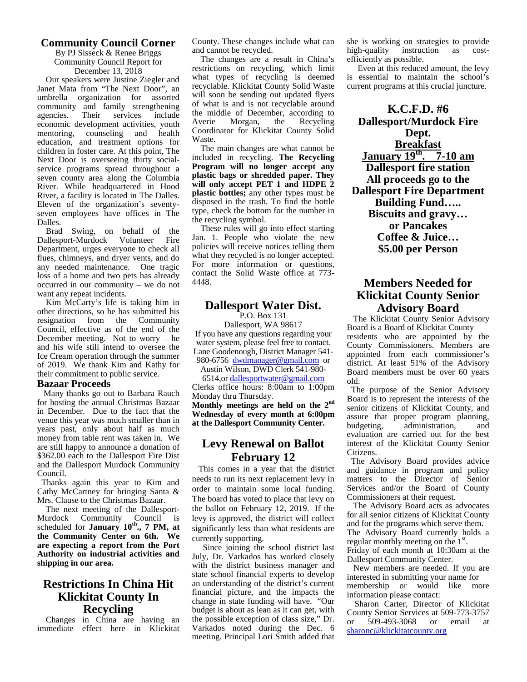### **Community Council Corner**

By PJ Sisseck & Renee Briggs Community Council Report for December 13, 2018

Our speakers were Justine Ziegler and Janet Mata from "The Next Door", an umbrella organization for assorted community and family strengthening agencies. Their services include the microscopy agencies and the microscopy of the microscopy and the microscopy of the microscopy of the microscopy and the microscopy of the microscopy of the microscopy of the microscopy economic development activities, youth mentoring, counseling and health education, and treatment options for children in foster care. At this point, The Next Door is overseeing thirty social service programs spread throughout a seven county area along the Columbia River. While headquartered in Hood River, a facility is located in The Dalles. Eleven of the organization's seventy seven employees have offices in The Dalles.

Brad Swing, on behalf of the Dallesport-Murdock Volunteer Fire Department, urges everyone to check all flues, chimneys, and dryer vents, and do any needed maintenance. One tragic loss of a home and two pets has already occurred in our community – we do not want any repeat incidents.

Kim McCarty's life is taking him in other directions, so he has submitted his resignation from the Community Council, effective as of the end of the December meeting. Not to worry – he and his wife still intend to oversee the Ice Cream operation through the summer of 2019. We thank Kim and Kathy for their commitment to public service.

### **Bazaar Proceeds**

Many thanks go out to Barbara Rauch for hosting the annual Christmas Bazaar in December. Due to the fact that the venue this year was much smaller than in years past, only about half as much money from table rent was taken in. We are still happy to announce a donation of \$362.00 each to the Dallesport Fire Dist and the Dallesport Murdock Community Council.

Thanks again this year to Kim and Cathy McCartney for bringing Santa & Mrs. Clause to the Christmas Bazaar.

The next meeting of the Dallesport- Murdock Community Council is levy scheduled for **January 10th ., 7 PM, at the Community Center on 6th. We are expecting a report from the Port Authority on industrial activities and shipping in our area.**

### **Restrictions In China Hit Klickitat County In Recycling**

Changes in China are having an immediate effect here in Klickitat County. These changes include what can and cannot be recycled.

The changes are a result in China's restrictions on recycling, which limit what types of recycling is deemed is es recyclable. Klickitat County Solid Waste will soon be sending out updated flyers of what is and is not recyclable around the middle of December, according to Morgan, the Recycling Coordinator for Klickitat County Solid Waste.

The main changes are what cannot be included in recycling. **The Recycling Program will no longer accept any plastic bags or shredded paper. They will only accept PET 1 and HDPE 2 plastic bottles;** any other types must be disposed in the trash. To find the bottle type, check the bottom for the number in the recycling symbol.

These rules will go into effect starting Jan. 1. People who violate the new policies will receive notices telling them what they recycled is no longer accepted. For more information or questions, contact the Solid Waste office at 773- 4448.

### **Dallesport Water Dist.**

P.O. Box 131

Dallesport, WA 98617 If you have any questions regarding your water system, please feel free to contact. Lane Goodenough, District Manager 541- 980-6756 dwdmanager@gmail.com or

Austin Wilson, DWD Clerk 541-980-

6514,or dallesportwater@gmail.com Clerks office hours: 8:00am to 1:00pm Monday thru Thursday.

**Monthly meetings are held on the 2nd Wednesday of every month at 6:00pm at the Dallesport Community Center.**

### **Levy Renewal on Ballot February 12**

This comes in a year that the district needs to run its next replacement levy in order to maintain some local funding. The board has voted to place that levy on the ballot on February 12, 2019. If the levy is approved, the district will collect significantly less than what residents are currently supporting.

Since joining the school district last July, Dr. Varkados has worked closely with the district business manager and state school financial experts to develop an understanding of the district's current financial picture, and the impacts the change in state funding will have. "Our budget is about as lean as it can get, with the possible exception of class size," Dr.  $\overrightarrow{or}$ Varkados noted during the Dec. 6 meeting. Principal Lori Smith added that

she is working on strategies to provide high-quality instruction as costefficiently as possible.

Even at this reduced amount, the levy is essential to maintain the school's current programs at this crucial juncture.

**K.C.F.D. #6 Dallesport/Murdock Fire Dept. Breakfast January 19th. 7-10 am Dallesport fire station All proceeds go to the Dallesport Fire Department Building Fund….. Biscuits and gravy… or Pancakes Coffee & Juice… \$5.00 per Person**

### **Members Needed for Klickitat County Senior Advisory Board**

The Klickitat County Senior Advisory Board is a Board of Klickitat County residents who are appointed by the County Commissioners. Members are appointed from each commissioner's district. At least 51% of the Advisory Board members must be over 60 years old.

The purpose of the Senior Advisory Board is to represent the interests of the senior citizens of Klickitat County, and assure that proper program planning,<br>budgeting, administration, and administration, and evaluation are carried out for the best interest of the Klickitat County Senior Citizens.

The Advisory Board provides advice and guidance in program and policy matters to the Director of Senior Services and/or the Board of County Commissioners at their request.

The Advisory Board acts as advocates for all senior citizens of Klickitat County and for the programs which serve them. The Advisory Board currently holds a regular monthly meeting on the 1<sup>st</sup>. Friday of each month at 10:30am at the

Dallesport Community Center.

New members are needed. If you are interested in submitting your name for membership or would like more information please contact:

Sharon Carter, Director of Klickitat County Senior Services at 509-773-3757<br>or 509-493-3068 or email at or 509-493-3068 or email at sharonc@klickitatcounty.org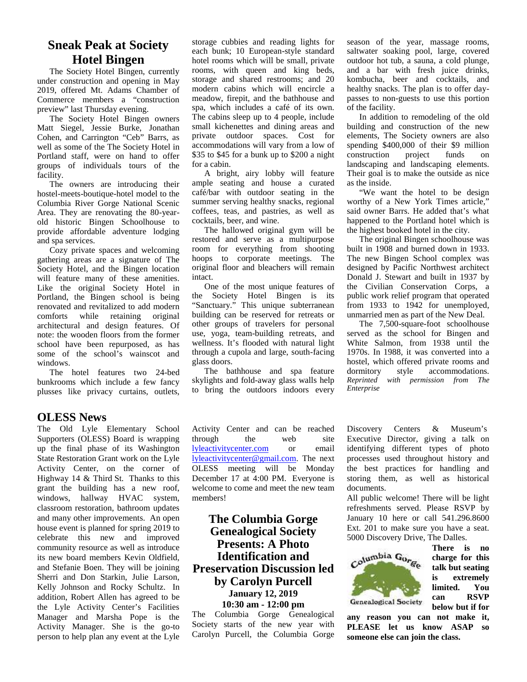### **Sneak Peak at Society Hotel Bingen**

The Society Hotel Bingen, currently under construction and opening in May 2019, offered Mt. Adams Chamber of Commerce members a "construction preview" last Thursday evening.

The Society Hotel Bingen owners Matt Siegel, Jessie Burke, Jonathan Cohen, and Carrington "Ceb" Barrs, as well as some of the The Society Hotel in Portland staff, were on hand to offer groups of individuals tours of the facility.

The owners are introducing their hostel-meets-boutique-hotel model to the Columbia River Gorge National Scenic Area. They are renovating the 80-year old historic Bingen Schoolhouse to provide affordable adventure lodging and spa services.

Cozy private spaces and welcoming gathering areas are a signature of The Society Hotel, and the Bingen location will feature many of these amenities. Like the original Society Hotel in Portland, the Bingen school is being renovated and revitalized to add modern comforts while retaining original architectural and design features. Of note: the wooden floors from the former school have been repurposed, as has some of the school's wainscot and windows.

The hotel features two 24-bed bunkrooms which include a few fancy plusses like privacy curtains, outlets,

### **OLESS News**

The Old Lyle Elementary School Supporters (OLESS) Board is wrapping up the final phase of its Washington State Restoration Grant work on the Lyle Activity Center, on the corner of Highway 14 & Third St. Thanks to this grant the building has a new roof, windows, hallway HVAC system, classroom restoration, bathroom updates and many other improvements. An open house event is planned for spring 2019 to celebrate this new and improved community resource as well as introduce its new board members Kevin Oldfield, and Stefanie Boen. They will be joining Sherri and Don Starkin, Julie Larson, Kelly Johnson and Rocky Schultz. In addition, Robert Allen has agreed to be the Lyle Activity Center's Facilities Manager and Marsha Pope is the Activity Manager. She is the go-to person to help plan any event at the Lyle storage cubbies and reading lights for each bunk; 10 European-style standard hotel rooms which will be small, private rooms, with queen and king beds, storage and shared restrooms; and 20 modern cabins which will encircle a meadow, firepit, and the bathhouse and spa, which includes a café of its own. The cabins sleep up to 4 people, include small kichenettes and dining areas and private outdoor spaces. Cost for accommodations will vary from a low of \$35 to \$45 for a bunk up to \$200 a night for a cabin.

A bright, airy lobby will feature ample seating and house a curated café/bar with outdoor seating in the summer serving healthy snacks, regional coffees, teas, and pastries, as well as cocktails, beer, and wine.

The hallowed original gym will be restored and serve as a multipurpose room for everything from shooting hoops to corporate meetings. The original floor and bleachers will remain intact.

One of the most unique features of the Society Hotel Bingen is its "Sanctuary." This unique subterranean building can be reserved for retreats or other groups of travelers for personal use, yoga, team-building retreats, and wellness. It's flooded with natural light through a cupola and large, south-facing glass doors.

The bathhouse and spa feature dormitory skylights and fold-away glass walls help to bring the outdoors indoors every

season of the year, massage rooms, saltwater soaking pool, large, covered outdoor hot tub, a sauna, a cold plunge, and a bar with fresh juice drinks, kombucha, beer and cocktails, and healthy snacks. The plan is to offer day passes to non-guests to use this portion of the facility.

In addition to remodeling of the old building and construction of the new elements, The Society owners are also spending \$400,000 of their \$9 million construction project funds on landscaping and landscaping elements. Their goal is to make the outside as nice as the inside.

"We want the hotel to be design worthy of a New York Times article," said owner Barrs. He added that's what happened to the Portland hotel which is the highest booked hotel in the city.

The original Bingen schoolhouse was built in 1908 and burned down in 1933. The new Bingen School complex was designed by Pacific Northwest architect Donald J. Stewart and built in 1937 by the Civilian Conservation Corps, a public work relief program that operated from 1933 to 1942 for unemployed, unmarried men as part of the New Deal.

The 7,500-square-foot schoolhouse served as the school for Bingen and White Salmon, from 1938 until the 1970s. In 1988, it was converted into a hostel, which offered private rooms and style accommodations. *Reprinted with permission from The Enterprise*

Activity Center and can be reached through the web site lyleactivitycenter.com or email lyleactivitycenter@gmail.com. The next OLESS meeting will be Monday December 17 at 4:00 PM. Everyone is welcome to come and meet the new team members!

**The Columbia Gorge Genealogical Society Presents:** A Photo<br> **Identification and**<br>  $\begin{array}{ccc}\n\therefore & \text{D^*} & \text{cylumbia } G_{0_{r_{\mathcal{C}_c}}} \\
\therefore & \text{D^*} & \text{d} & \text{cylumbia } G_{1_{r_{\mathcal{C}_c}}} \\
\end{array}$ **Identification and Preservation Discussion led by Carolyn Purcell January 12, 2019** 10:30 am - 12:00 pm Genealogical Society

The Columbia Gorge Genealogical Society starts of the new year with Carolyn Purcell, the Columbia Gorge

Centers  $\&$  Museum's Executive Director, giving a talk on identifying different types of photo processes used throughout history and the best practices for handling and storing them, as well as historical documents.

All public welcome! There will be light refreshments served. Please RSVP by January 10 here or call 541.296.8600 Ext. 201 to make sure you have a seat. 5000 Discovery Drive, The Dalles.



**There is no charge for this talk but seating is extremely limited. You can RSVP below but if for**

**any reason you can not make it, PLEASE let us know ASAP so someone else can join the class.**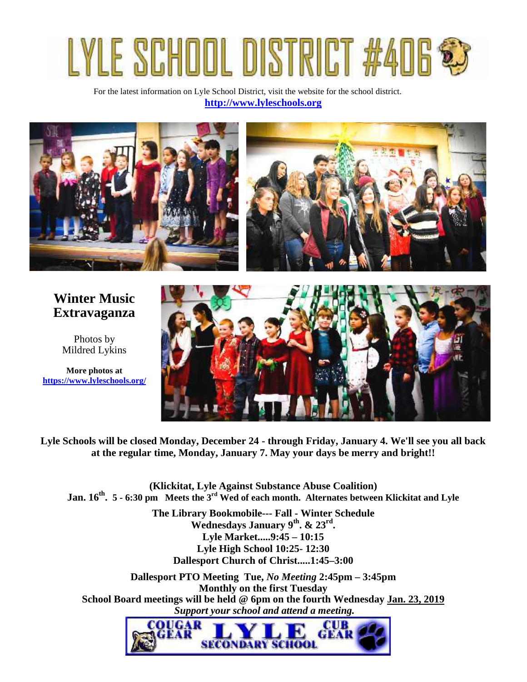# **Fair**

For the latest information on Lyle School District, visit the website for the school district. **http://www.lyleschools.org**



# **Winter Music Extravaganza**

Photos by Mildred Lykins

**More photos at https://www.lyleschools.org/**



**Lyle Schools will be closed Monday, December 24 - through Friday, January 4. We'll see you all back at the regular time, Monday, January 7. May your days be merry and bright!!**

**(Klickitat, Lyle Against Substance Abuse Coalition) Jan. 16th . 5 - 6:30 pm Meets the 3rd Wed of each month. Alternates between Klickitat and Lyle**

> **The Library Bookmobile--- Fall - Winter Schedule Wednesdays January 9th. & 23rd . Lyle Market.....9:45 – 10:15 Lyle High School 10:25- 12:30 Dallesport Church of Christ.....1:45–3:00**

**Dallesport PTO Meeting Tue,** *No Meeting* **2:45pm – 3:45pm Monthly on the first Tuesday School Board meetings will be held @ 6pm on the fourth Wednesday Jan. 23, 2019**  *Support your school and attend a meeting.*

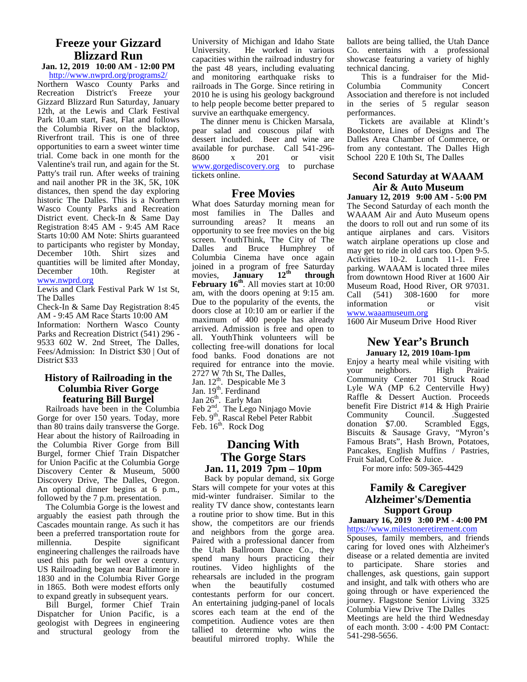### **Freeze your Gizzard** University Construction **Blizzard Run**

**Jan. 12, 2019 10:00 AM - 12:00 PM** http://www.nwprd.org/programs2/

Northern Wasco County Parks and Recreation District's Freeze your Gizzard Blizzard Run Saturday, January 12th, at the Lewis and Clark Festival Park 10.am start, Fast, Flat and follows the Columbia River on the blacktop, Riverfront trail. This is one of three opportunities to earn a sweet winter time trial. Come back in one month for the Valentine's trail run, and again for the St. Patty's trail run. After weeks of training and nail another PR in the 3K, 5K, 10K distances, then spend the day exploring historic The Dalles. This is a Northern Wasco County Parks and Recreation District event. Check-In & Same Day Registration 8:45 AM - 9:45 AM Race Starts 10:00 AM Note: Shirts guaranteed to participants who register by Monday, December 10th. Shirt sizes and quantities will be limited after Monday,<br>December 10th. Register at December 10th. Register at novies, www.nwprd.org

Lewis and Clark Festival Park W 1st St, The Dalles

Check-In & Same Day Registration 8:45 AM - 9:45 AM Race Starts 10:00 AM Information: Northern Wasco County Parks and Recreation District (541) 296 - 9533 602 W. 2nd Street, The Dalles, Fees/Admission: In District \$30 | Out of District \$33

### **History of Railroading in the** 2727 W 7th St, The Dalles, **Columbia River Gorge featuring Bill Burgel**

 Railroads have been in the Columbia Gorge for over 150 years. Today, more than 80 trains daily transverse the Gorge. Hear about the history of Railroading in the Columbia River Gorge from Bill Burgel, former Chief Train Dispatcher for Union Pacific at the Columbia Gorge Discovery Center & Museum, 5000 Discovery Drive, The Dalles, Oregon. An optional dinner begins at 6 p.m., followed by the 7 p.m. presentation.

 The Columbia Gorge is the lowest and arguably the easiest path through the Cascades mountain range. As such it has been a preferred transportation route for millennia. Despite significant engineering challenges the railroads have used this path for well over a century. US Railroading began near Baltimore in 1830 and in the Columbia River Gorge rehear<br>in 1865. Both were modest efforts only when in 1865. Both were modest efforts only to expand greatly in subsequent years.

 Bill Burgel, former Chief Train Dispatcher for Union Pacific, is a geologist with Degrees in engineering and structural geology from the University of Michigan and Idaho State He worked in various capacities within the railroad industry for the past 48 years, including evaluating and monitoring earthquake risks to railroads in The Gorge. Since retiring in 2010 he is using his geology background to help people become better prepared to survive an earthquake emergency.

 The dinner menu is Chicken Marsala, pear salad and couscous pilaf with dessert included. Beer and wine are available for purchase. Call 541-296- 8600 x 201 or visit www.gorgediscovery.org to purchase tickets online.

### **Free Movies**

What does Saturday morning mean for most families in The Dalles and surrounding areas? It means an opportunity to see free movies on the big screen. YouthThink, The City of The Dalles and Bruce Humphrey of Columbia Cinema have once again joined in a program of free Saturday<br>movies, **January** 12<sup>th</sup> through **January** 12<sup>th</sup> through **February 16th**. All movies start at 10:00 am, with the doors opening at 9:15 am. Due to the popularity of the events, the doors close at 10:10 am or earlier if the maximum of 400 people has already arrived. Admission is free and open to all. YouthThink volunteers will be collecting free-will donations for local food banks. Food donations are not required for entrance into the movie. 2727 W 7th St, The Dalles, Jan.  $12^{th}$ . Despicable Me 3 Jan. 19<sup>th</sup>. Ferdinand

Jan  $26<sup>th</sup>$ . Early Man

Feb  $2<sup>nd</sup>$ . The Lego Ninjago Movie

Feb. 9<sup>th</sup>. Rascal Rebel Peter Rabbit

Feb. 16<sup>th</sup>. Rock Dog

### **Dancing With The Gorge Stars Jan. 11, 2019 7pm – 10pm**

Back by popular demand, six Gorge Stars will compete for your votes at this mid-winter fundraiser. Similar to the reality TV dance show, contestants learn a routine prior to show time. But in this show, the competitors are our friends and neighbors from the gorge area. Paired with a professional dancer from the Utah Ballroom Dance Co., they spend many hours practicing their routines. Video highlights of the rehearsals are included in the program the beautifully costumed contestants perform for our concert. An entertaining judging-panel of locals scores each team at the end of the competition. Audience votes are then tallied to determine who wins the beautiful mirrored trophy. While the

ballots are being tallied, the Utah Dance Co. entertains with a professional showcase featuring a variety of highly technical dancing.

This is a fundraiser for the Mid-<br>Columbia Community Concert Community Concert Association and therefore is not included in the series of 5 regular season performances.

Tickets are available at Klindt's Bookstore, Lines of Designs and The Dalles Area Chamber of Commerce, or from any contestant. The Dalles High School 220 E 10th St, The Dalles

### **Second Saturday at WAAAM Air & Auto Museum**

**January 12, 2019 9:00 AM - 5:00 PM** The Second Saturday of each month the WAAAM Air and Auto Museum opens the doors to roll out and run some of its antique airplanes and cars. Visitors watch airplane operations up close and may get to ride in old cars too. Open 9-5. Activities 10-2. Lunch 11-1. Free parking. WAAAM is located three miles from downtown Hood River at 1600 Air Museum Road, Hood River, OR 97031. (541) 308-1600 for more information or visit www.waaamuseum.org

1600 Air Museum Drive Hood River

### **New Year's Brunch January 12, 2019 10am-1pm**

Enjoy a hearty meal while visiting with your neighbors. High Prairie Community Center 701 Struck Road Lyle WA (MP 6.2 Centerville Hwy) Raffle & Dessert Auction. Proceeds benefit Fire District #14 & High Prairie Community Council. .Suggested<br>donation \$7.00. Scrambled Eggs, Scrambled Eggs, Biscuits & Sausage Gravy, "Myron's Famous Brats", Hash Brown, Potatoes, Pancakes, English Muffins / Pastries, Fruit Salad, Coffee & Juice.

For more info: 509-365-4429

### **Family & Caregiver Alzheimer's/Dementia Support Group**

#### **January 16, 2019 3:00 PM - 4:00 PM** https://www.milestoneretirement.com

Spouses, family members, and friends caring for loved ones with Alzheimer's disease or a related dementia are invited to participate. Share stories and challenges, ask questions, gain support and insight, and talk with others who are going through or have experienced the journey. Flagstone Senior Living 3325 Columbia View Drive The Dalles

Meetings are held the third Wednesday of each month. 3:00 - 4:00 PM Contact: 541-298-5656.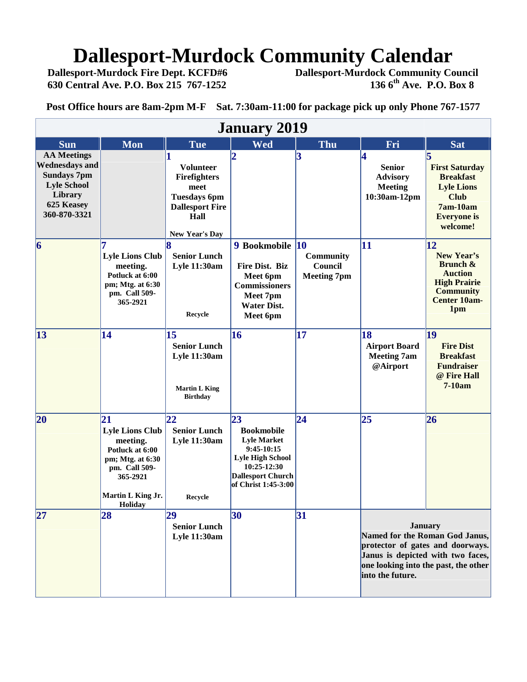# **Dallesport-Murdock Community Calendar**<br>Dallesport-Murdock Fire Dept. KCFD#6 Dallesport-Murdock Community Co

 **Dallesport-Murdock Fire Dept. KCFD#6 Dallesport-Murdock Community Council 630 Central Ave. P.O. Box 215 767-1252 136 6th Ave. P.O. Box 8**

**Post Office hours are 8am-2pm M-F Sat. 7:30am-11:00 for package pick up only Phone 767-1577**

| <b>January 2019</b>                                                                                                              |                                                                                                                                                     |                                                                                                                     |                                                                                                                                                            |                                            |                                                                                                                                                                                       |                                                                                                                                  |
|----------------------------------------------------------------------------------------------------------------------------------|-----------------------------------------------------------------------------------------------------------------------------------------------------|---------------------------------------------------------------------------------------------------------------------|------------------------------------------------------------------------------------------------------------------------------------------------------------|--------------------------------------------|---------------------------------------------------------------------------------------------------------------------------------------------------------------------------------------|----------------------------------------------------------------------------------------------------------------------------------|
| <b>Sun</b>                                                                                                                       | <b>Mon</b>                                                                                                                                          | <b>Tue</b>                                                                                                          | <b>Wed</b>                                                                                                                                                 | Thu                                        | Fri                                                                                                                                                                                   | <b>Sat</b>                                                                                                                       |
| <b>AA Meetings</b><br><b>Wednesdays and</b><br><b>Sundays 7pm</b><br><b>Lyle School</b><br>Library<br>625 Keasey<br>360-870-3321 |                                                                                                                                                     | <b>Volunteer</b><br>Firefighters<br>meet<br><b>Tuesdays 6pm</b><br><b>Dallesport Fire</b><br>Hall<br>New Year's Day | $\overline{\mathbf{2}}$                                                                                                                                    | 3                                          | 4<br><b>Senior</b><br><b>Advisory</b><br><b>Meeting</b><br>10:30am-12pm                                                                                                               | 5<br><b>First Saturday</b><br><b>Breakfast</b><br><b>Lyle Lions</b><br><b>Club</b><br>7am-10am<br><b>Everyone</b> is<br>welcome! |
| 6                                                                                                                                | <b>Lyle Lions Club</b><br>meeting.<br>Potluck at 6:00<br>pm; Mtg. at 6:30<br>pm. Call 509-<br>365-2921                                              | <b>Senior Lunch</b><br><b>Lyle 11:30am</b><br>Recycle                                                               | 9 Bookmobile 10<br>Fire Dist. Biz<br>Meet 6pm<br><b>Commissioners</b><br>Meet 7pm<br><b>Water Dist.</b><br>Meet 6pm                                        | Community<br>Council<br><b>Meeting 7pm</b> | 11                                                                                                                                                                                    | 12<br>New Year's<br>Brunch &<br><b>Auction</b><br><b>High Prairie</b><br><b>Community</b><br><b>Center 10am-</b><br>1pm          |
| $\vert$ 13                                                                                                                       | 14                                                                                                                                                  | 15<br><b>Senior Lunch</b><br><b>Lyle 11:30am</b><br><b>Martin L King</b><br><b>Birthday</b>                         | 16                                                                                                                                                         | 17                                         | 18<br><b>Airport Board</b><br><b>Meeting 7am</b><br>@Airport                                                                                                                          | 19<br><b>Fire Dist</b><br><b>Breakfast</b><br><b>Fundraiser</b><br>@ Fire Hall<br>7-10am                                         |
| 20                                                                                                                               | 21<br><b>Lyle Lions Club</b><br>meeting.<br>Potluck at 6:00<br>pm; Mtg. at 6:30<br>pm. Call 509-<br>365-2921<br>Martin L King Jr.<br><b>Holiday</b> | 22<br><b>Senior Lunch</b><br><b>Lyle 11:30am</b><br>Recycle                                                         | 23<br><b>Bookmobile</b><br><b>Lyle Market</b><br>$9:45-10:15$<br><b>Lyle High School</b><br>10:25-12:30<br><b>Dallesport Church</b><br>of Christ 1:45-3:00 | $\overline{24}$                            | 25                                                                                                                                                                                    | 26                                                                                                                               |
| 27                                                                                                                               | 28                                                                                                                                                  | 29<br><b>Senior Lunch</b><br><b>Lyle 11:30am</b>                                                                    | 30                                                                                                                                                         | 31                                         | <b>January</b><br>Named for the Roman God Janus,<br>protector of gates and doorways.<br>Janus is depicted with two faces,<br>one looking into the past, the other<br>into the future. |                                                                                                                                  |